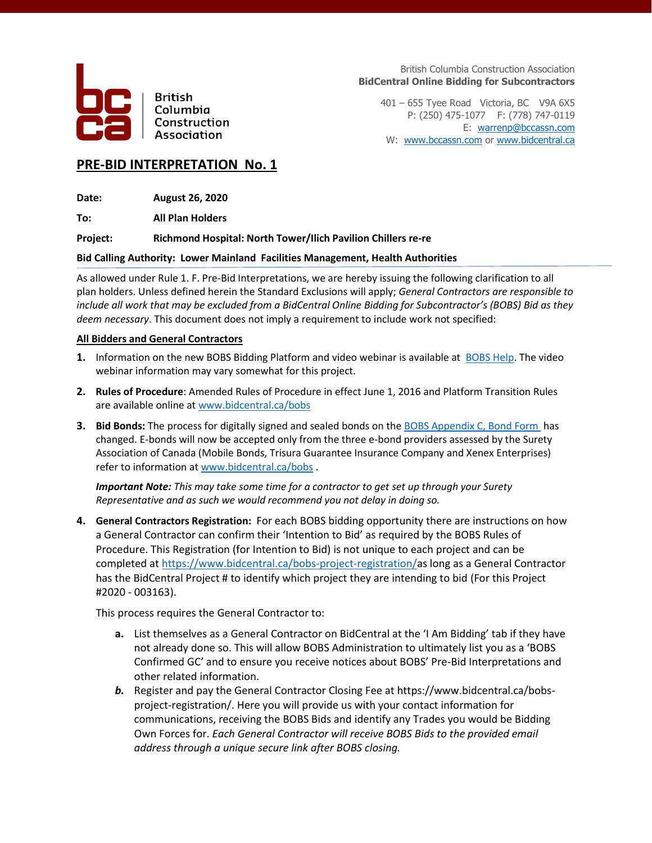

**British** Columbia Construction Association

British Columbia Construction Association **BidCentral Online Bidding for Subcontractors**

401 – 655 Tyee Road Victoria, BC V9A 6X5 P: (250) 475-1077 F: (778) 747-0119 E: [warrenp@bccassn.com](mailto:warrenp@bccassn.com) W: [www.bccassn.com](http://www.bccassn.com/) o[r www.bidcentral.ca](http://www.bidcentral.ca/)

## **PRE-BID INTERPRETATION No. 1**

**Date: August 26, 2020**

**To: All Plan Holders**

### **Project: Richmond Hospital: North Tower/Ilich Pavilion Chillers re-re**

#### **Bid Calling Authority: Lower Mainland Facilities Management, Health Authorities**

As allowed under Rule 1. F. Pre-Bid Interpretations, we are hereby issuing the following clarification to all plan holders. Unless defined herein the Standard Exclusions will apply; *General Contractors are responsible to include all work that may be excluded from a BidCentral Online Bidding for Subcontractor's (BOBS) Bid as they deem necessary*. This document does not imply a requirement to include work not specified:

### **All Bidders and General Contractors**

- **1.** Information on the new BOBS Bidding Platform and video webinar is available at [BOBS Help.](http://www.bidcentral.ca/bobs) The video webinar information may vary somewhat for this project.
- **2. Rules of Procedure**: Amended Rules of Procedure in effect June 1, 2016 and Platform Transition Rules are available online at [www.bidcentral.ca/bobs](http://www.bidcentral.ca/bobs)
- **3.** Bid Bonds: The process for digitally signed and sealed bonds on th[e BOBS Appendix C, Bond Form](https://www.bidcentral.ca/help/bobs-bond-form/) has changed. E-bonds will now be accepted only from the three e-bond providers assessed by the Surety Association of Canada (Mobile Bonds, Trisura Guarantee Insurance Company and Xenex Enterprises) refer to information at [www.bidcentral.ca/bobs](http://www.bidcentral.ca/bobs) .

*Important Note: This may take some time for a contractor to get set up through your Surety Representative and as such we would recommend you not delay in doing so.* 

**4. General Contractors Registration:** For each BOBS bidding opportunity there are instructions on how a General Contractor can confirm their 'Intention to Bid' as required by the BOBS Rules of Procedure. This Registration (for Intention to Bid) is not unique to each project and can be completed at [https://www.bidcentral.ca/bobs-project-registration/a](https://www.bidcentral.ca/bobs-project-registration/)s long as a General Contractor has the BidCentral Project # to identify which project they are intending to bid (For this Project #2020 - 003163).

This process requires the General Contractor to:

- **a.** List themselves as a General Contractor on BidCentral at the 'I Am Bidding' tab if they have not already done so. This will allow BOBS Administration to ultimately list you as a 'BOBS Confirmed GC' and to ensure you receive notices about BOBS' Pre-Bid Interpretations and other related information.
- *b.* Register and pay the General Contractor Closing Fee at https://www.bidcentral.ca/bobsproject-registration/. Here you will provide us with your contact information for communications, receiving the BOBS Bids and identify any Trades you would be Bidding Own Forces for. *Each General Contractor will receive BOBS Bids to the provided email address through a unique secure link after BOBS closing.*